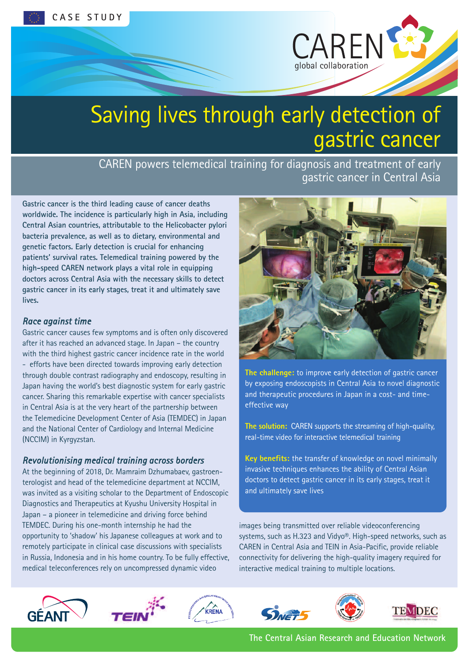

# Saving lives through early detection of gastric cancer

CAREN powers telemedical training for diagnosis and treatment of early gastric cancer in Central Asia

**Gastric cancer is the third leading cause of cancer deaths worldwide. The incidence is particularly high in Asia, including Central Asian countries, attributable to the Helicobacter pylori bacteria prevalence, as well as to dietary, environmental and genetic factors. Early detection is crucial for enhancing patients' survival rates. Telemedical training powered by the high-speed CAREN network plays a vital role in equipping doctors across Central Asia with the necessary skills to detect gastric cancer in its early stages, treat it and ultimately save lives.**

#### *Race against time*

Gastric cancer causes few symptoms and is often only discovered after it has reached an advanced stage. In Japan – the country with the third highest gastric cancer incidence rate in the world - efforts have been directed towards improving early detection through double contrast radiography and endoscopy, resulting in Japan having the world's best diagnostic system for early gastric cancer. Sharing this remarkable expertise with cancer specialists in Central Asia is at the very heart of the partnership between the Telemedicine Development Center of Asia (TEMDEC) in Japan and the National Center of Cardiology and Internal Medicine (NCCIM) in Kyrgyzstan.

## *Revolutionising medical training across borders*

At the beginning of 2018, Dr. Mamraim Dzhumabaev, gastroenterologist and head of the telemedicine department at NCCIM, was invited as a visiting scholar to the Department of Endoscopic Diagnostics and Therapeutics at Kyushu University Hospital in Japan – a pioneer in telemedicine and driving force behind TEMDEC. During his one-month internship he had the opportunity to 'shadow' his Japanese colleagues at work and to remotely participate in clinical case discussions with specialists in Russia, Indonesia and in his home country. To be fully effective, medical teleconferences rely on uncompressed dynamic video



**The challenge:** to improve early detection of gastric cancer by exposing endoscopists in Central Asia to novel diagnostic and therapeutic procedures in Japan in a cost- and timeeffective way

**The solution:** CAREN supports the streaming of high-quality, real-time video for interactive telemedical training

**Key benefits:** the transfer of knowledge on novel minimally invasive techniques enhances the ability of Central Asian doctors to detect gastric cancer in its early stages, treat it and ultimately save lives

images being transmitted over reliable videoconferencing systems, such as H.323 and Vidyo®. High-speed networks, such as CAREN in Central Asia and TEIN in Asia-Pacific, provide reliable connectivity for delivering the high-quality imagery required for interactive medical training to multiple locations.











**The Central Asian Research and Education Network**